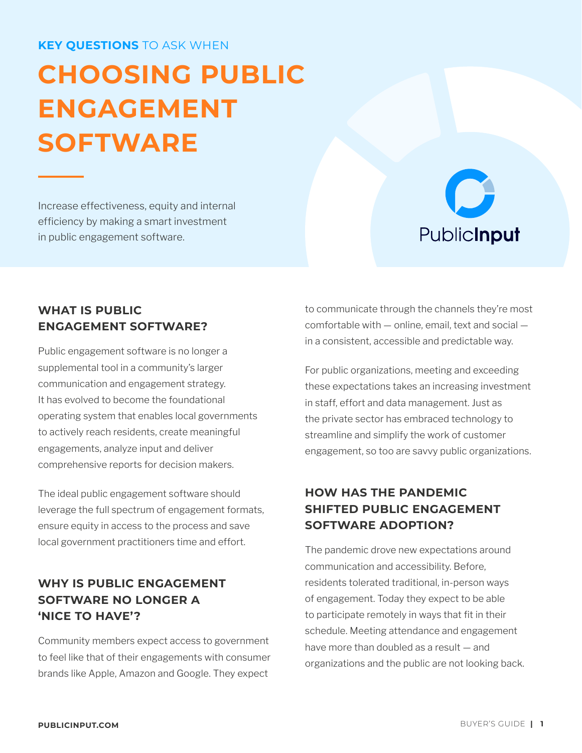#### **KEY QUESTIONS** TO ASK WHEN

# **CHOOSING PUBLIC ENGAGEMENT SOFTWARE**

Increase effectiveness, equity and internal efficiency by making a smart investment in public engagement software.



#### **WHAT IS PUBLIC ENGAGEMENT SOFTWARE?**

Public engagement software is no longer a supplemental tool in a community's larger communication and engagement strategy. It has evolved to become the foundational operating system that enables local governments to actively reach residents, create meaningful engagements, analyze input and deliver comprehensive reports for decision makers.

The ideal public engagement software should leverage the full spectrum of engagement formats, ensure equity in access to the process and save local government practitioners time and effort.

#### **WHY IS PUBLIC ENGAGEMENT SOFTWARE NO LONGER A 'NICE TO HAVE'?**

Community members expect access to government to feel like that of their engagements with consumer brands like Apple, Amazon and Google. They expect

to communicate through the channels they're most comfortable with — online, email, text and social in a consistent, accessible and predictable way.

For public organizations, meeting and exceeding these expectations takes an increasing investment in staff, effort and data management. Just as the private sector has embraced technology to streamline and simplify the work of customer engagement, so too are savvy public organizations.

#### **HOW HAS THE PANDEMIC SHIFTED PUBLIC ENGAGEMENT SOFTWARE ADOPTION?**

The pandemic drove new expectations around communication and accessibility. Before, residents tolerated traditional, in-person ways of engagement. Today they expect to be able to participate remotely in ways that fit in their schedule. Meeting attendance and engagement have more than doubled as a result — and organizations and the public are not looking back.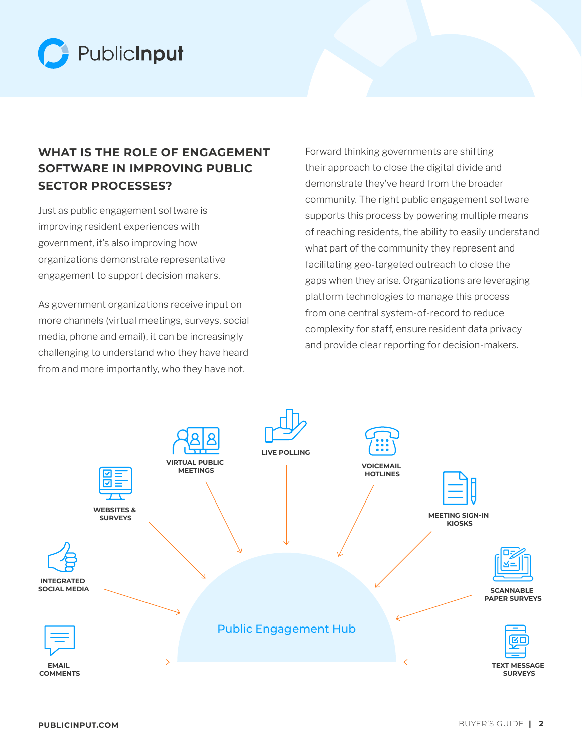

#### **WHAT IS THE ROLE OF ENGAGEMENT SOFTWARE IN IMPROVING PUBLIC SECTOR PROCESSES?**

Just as public engagement software is improving resident experiences with government, it's also improving how organizations demonstrate representative engagement to support decision makers.

As government organizations receive input on more channels (virtual meetings, surveys, social media, phone and email), it can be increasingly challenging to understand who they have heard from and more importantly, who they have not.

Forward thinking governments are shifting their approach to close the digital divide and demonstrate they've heard from the broader community. The right public engagement software supports this process by powering multiple means of reaching residents, the ability to easily understand what part of the community they represent and facilitating geo-targeted outreach to close the gaps when they arise. Organizations are leveraging platform technologies to manage this process from one central system-of-record to reduce complexity for staff, ensure resident data privacy and provide clear reporting for decision-makers.

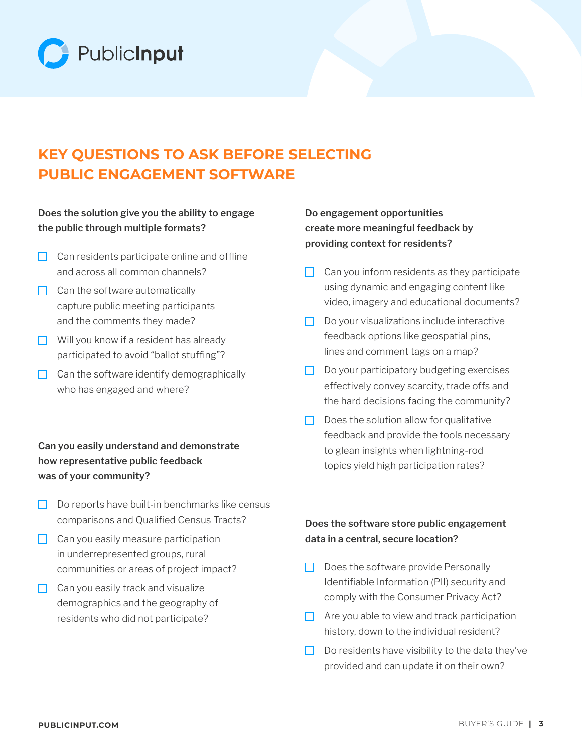

# **KEY QUESTIONS TO ASK BEFORE SELECTING PUBLIC ENGAGEMENT SOFTWARE**

#### **Does the solution give you the ability to engage the public through multiple formats?**

- $\Box$  Can residents participate online and offline and across all common channels?
- $\Box$  Can the software automatically capture public meeting participants and the comments they made?
- $\Box$  Will you know if a resident has already participated to avoid "ballot stuffing"?
- $\Box$  Can the software identify demographically who has engaged and where?

#### **Can you easily understand and demonstrate how representative public feedback was of your community?**

- $\Box$  Do reports have built-in benchmarks like census comparisons and Qualified Census Tracts?
- $\Box$  Can you easily measure participation in underrepresented groups, rural communities or areas of project impact?
- $\Box$  Can you easily track and visualize demographics and the geography of residents who did not participate?

#### **Do engagement opportunities create more meaningful feedback by providing context for residents?**

- $\Box$  Can you inform residents as they participate using dynamic and engaging content like video, imagery and educational documents?
- $\Box$  Do your visualizations include interactive feedback options like geospatial pins, lines and comment tags on a map?
- $\Box$  Do your participatory budgeting exercises effectively convey scarcity, trade offs and the hard decisions facing the community?
- $\Box$  Does the solution allow for qualitative feedback and provide the tools necessary to glean insights when lightning-rod topics yield high participation rates?

#### **Does the software store public engagement data in a central, secure location?**

- $\Box$  Does the software provide Personally Identifiable Information (PII) security and comply with the Consumer Privacy Act?
- $\Box$  Are you able to view and track participation history, down to the individual resident?
- $\Box$  Do residents have visibility to the data they've provided and can update it on their own?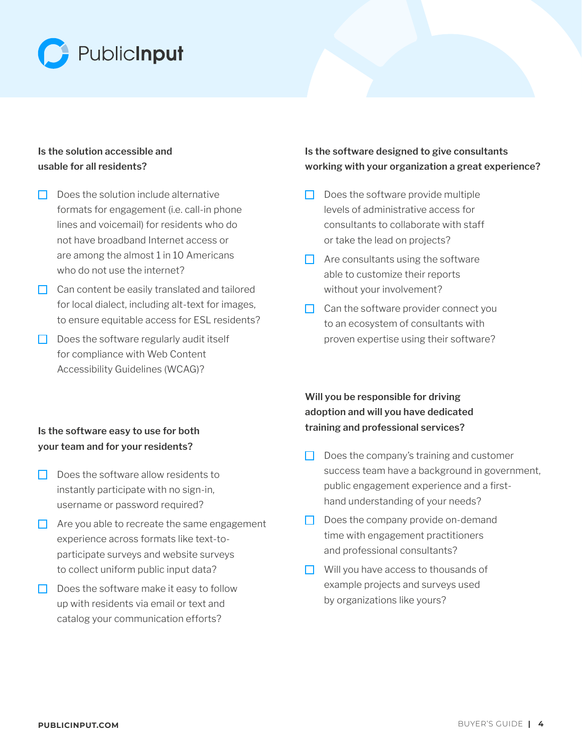

#### **Is the solution accessible and usable for all residents?**

- $\Box$  Does the solution include alternative formats for engagement (i.e. call-in phone lines and voicemail) for residents who do not have broadband Internet access or are among the almost 1 in 10 Americans who do not use the internet?
- $\Box$  Can content be easily translated and tailored for local dialect, including alt-text for images, to ensure equitable access for ESL residents?
- $\Box$  Does the software regularly audit itself for compliance with Web Content Accessibility Guidelines (WCAG)?

#### **Is the software designed to give consultants working with your organization a great experience?**

- $\Box$  Does the software provide multiple levels of administrative access for consultants to collaborate with staff or take the lead on projects?
- $\Box$  Are consultants using the software able to customize their reports without your involvement?
- $\Box$  Can the software provider connect you to an ecosystem of consultants with proven expertise using their software?

#### **Will you be responsible for driving adoption and will you have dedicated training and professional services?**

- $\Box$  Does the company's training and customer success team have a background in government, public engagement experience and a firsthand understanding of your needs?
- $\Box$  Does the company provide on-demand time with engagement practitioners and professional consultants?
- $\Box$  Will you have access to thousands of example projects and surveys used by organizations like yours?

#### **Is the software easy to use for both your team and for your residents?**

- $\Box$  Does the software allow residents to instantly participate with no sign-in, username or password required?
- $\Box$  Are you able to recreate the same engagement experience across formats like text-toparticipate surveys and website surveys to collect uniform public input data?
- $\Box$  Does the software make it easy to follow up with residents via email or text and catalog your communication efforts?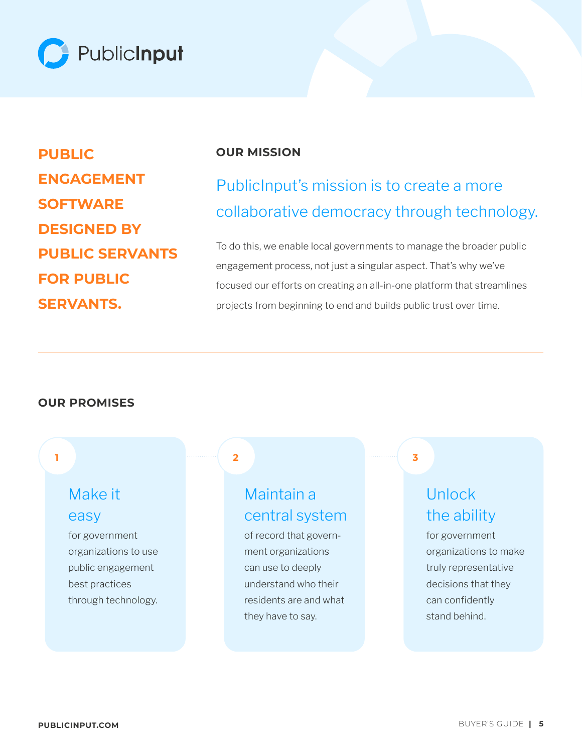

**PUBLIC ENGAGEMENT SOFTWARE DESIGNED BY PUBLIC SERVANTS FOR PUBLIC SERVANTS.**

#### **OUR MISSION**

# PublicInput's mission is to create a more collaborative democracy through technology.

To do this, we enable local governments to manage the broader public engagement process, not just a singular aspect. That's why we've focused our efforts on creating an all-in-one platform that streamlines projects from beginning to end and builds public trust over time.

#### **OUR PROMISES**

## Make it easy

for government organizations to use public engagement best practices through technology.

#### **2 1 3**

### Maintain a central system

of record that government organizations can use to deeply understand who their residents are and what they have to say.

# Unlock the ability

for government organizations to make truly representative decisions that they can confidently stand behind.